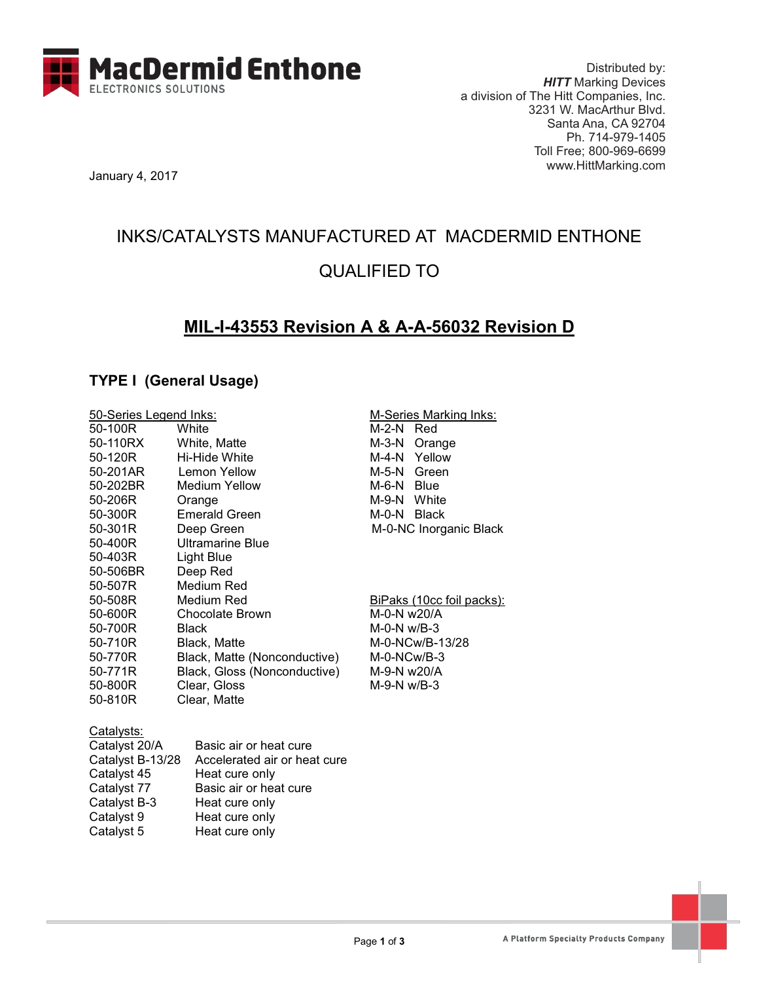

Distributed by: **HITT** Marking Devices a division of The Hitt Companies, Inc. 3231 W. MacArthur Blvd. Santa Ana, CA 92704 Ph. 714-979-1405 Toll Free; 800-969-6699 www.HittMarking.com

January 4, 2017

# INKS/CATALYSTS MANUFACTURED AT MACDERMID ENTHONE

## QUALIFIED TO

### **MIL-I-43553 Revision A & A-A-56032 Revision D**

#### **TYPE I (General Usage)**

| 50-Series Legend Inks: |                              | M-Series Marking Inks:    |
|------------------------|------------------------------|---------------------------|
| 50-100R                | White                        | M-2-N<br>Red              |
| 50-110RX               | White, Matte                 | M-3-N<br>Orange           |
| 50-120R                | Hi-Hide White                | M-4-N<br>Yellow           |
| 50-201AR               | Lemon Yellow                 | M-5-N<br>Green            |
| 50-202BR               | Medium Yellow                | M-6-N<br>Blue             |
| 50-206R                | Orange                       | White<br>M-9-N            |
| 50-300R                | <b>Emerald Green</b>         | $M-O-N$<br><b>Black</b>   |
| 50-301R                | Deep Green                   | M-0-NC Inorganic Black    |
| 50-400R                | <b>Ultramarine Blue</b>      |                           |
| 50-403R                | Light Blue                   |                           |
| 50-506BR               | Deep Red                     |                           |
| 50-507R                | Medium Red                   |                           |
| 50-508R                | Medium Red                   | BiPaks (10cc foil packs): |
| 50-600R                | Chocolate Brown              | M-0-N w20/A               |
| 50-700R                | <b>Black</b>                 | $M-O-N$ w/B-3             |
| 50-710R                | <b>Black, Matte</b>          | M-0-NCw/B-13/28           |
| 50-770R                | Black, Matte (Nonconductive) | M-0-NCw/B-3               |
| 50-771R                | Black, Gloss (Nonconductive) | M-9-N w20/A               |
| 50-800R                | Clear, Gloss                 | $M-9-N$ w/B-3             |
| 50-810R                | Clear, Matte                 |                           |
|                        |                              |                           |
| Catalysts:             |                              |                           |
| Catalyst 20/A          | Basic air or heat cure       |                           |
| Catalyst B-13/28       | Accelerated air or heat cure |                           |
| Catalyst 45            | Heat cure only               |                           |
| Catalyst 77            | Basic air or heat cure       |                           |
| Catalyst B-3           | Heat cure only               |                           |
| Catalyst 9             | Heat cure only               |                           |
| Catalyst 5             | Heat cure only               |                           |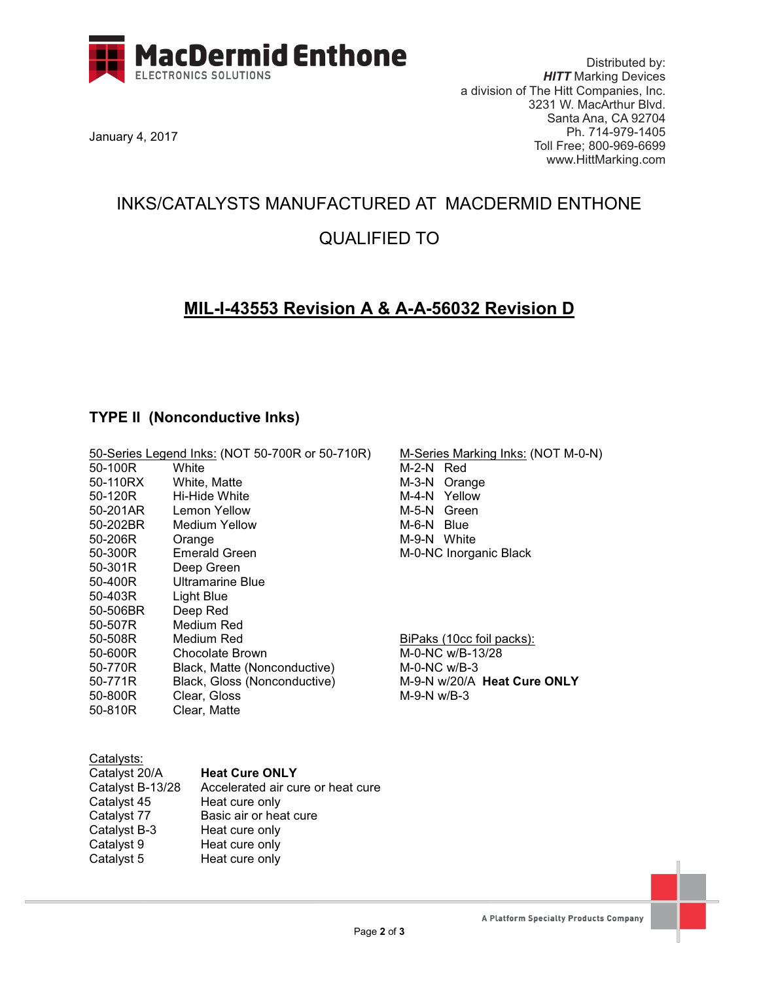

Distributed by: **HITT** Marking Devices a division of The Hitt Companies, Inc. 3231 W. MacArthur Blvd. Santa Ana, CA 92704 Ph. 714-979-1405 Toll Free; 800-969-6699 www.HittMarking.com

January 4, 2017

## INKS/CATALYSTS MANUFACTURED AT MACDERMID ENTHONE

### QUALIFIED TO

### **MIL-I-43553 Revision A & A-A-56032 Revision D**

#### **TYPE II (Nonconductive Inks)**

| 50-Series Legend Inks: (NOT 50-700R or 50-710R) |                              | M-Series Marking Inks: (NOT M-0-N) |
|-------------------------------------------------|------------------------------|------------------------------------|
| 50-100R                                         | White                        | Red<br>M-2-N                       |
| 50-110RX                                        | White, Matte                 | M-3-N<br>Orange                    |
| 50-120R                                         | Hi-Hide White                | M-4-N Yellow                       |
| 50-201AR                                        | Lemon Yellow                 | M-5-N Green                        |
| 50-202BR                                        | Medium Yellow                | M-6-N<br>Blue                      |
| 50-206R                                         | Orange                       | M-9-N White                        |
| 50-300R                                         | <b>Emerald Green</b>         | M-0-NC Inorganic Black             |
| 50-301R                                         | Deep Green                   |                                    |
| 50-400R                                         | Ultramarine Blue             |                                    |
| 50-403R                                         | Light Blue                   |                                    |
| 50-506BR                                        | Deep Red                     |                                    |
| 50-507R                                         | Medium Red                   |                                    |
| 50-508R                                         | Medium Red                   | BiPaks (10cc foil packs):          |
| 50-600R                                         | Chocolate Brown              | M-0-NC w/B-13/28                   |
| 50-770R                                         | Black, Matte (Nonconductive) | $M-O-NC$ w/B-3                     |
| 50-771R                                         | Black, Gloss (Nonconductive) | M-9-N w/20/A Heat Cure ONLY        |
| 50-800R                                         | Clear, Gloss                 | $M-9-N$ w/B-3                      |
| 50-810R                                         | Clear, Matte                 |                                    |
|                                                 |                              |                                    |

| Catalysts:       |                                   |
|------------------|-----------------------------------|
| Catalyst 20/A    | <b>Heat Cure ONLY</b>             |
| Catalyst B-13/28 | Accelerated air cure or heat cure |
| Catalyst 45      | Heat cure only                    |
| Catalyst 77      | Basic air or heat cure            |
| Catalyst B-3     | Heat cure only                    |
| Catalyst 9       | Heat cure only                    |
| Catalyst 5       | Heat cure only                    |